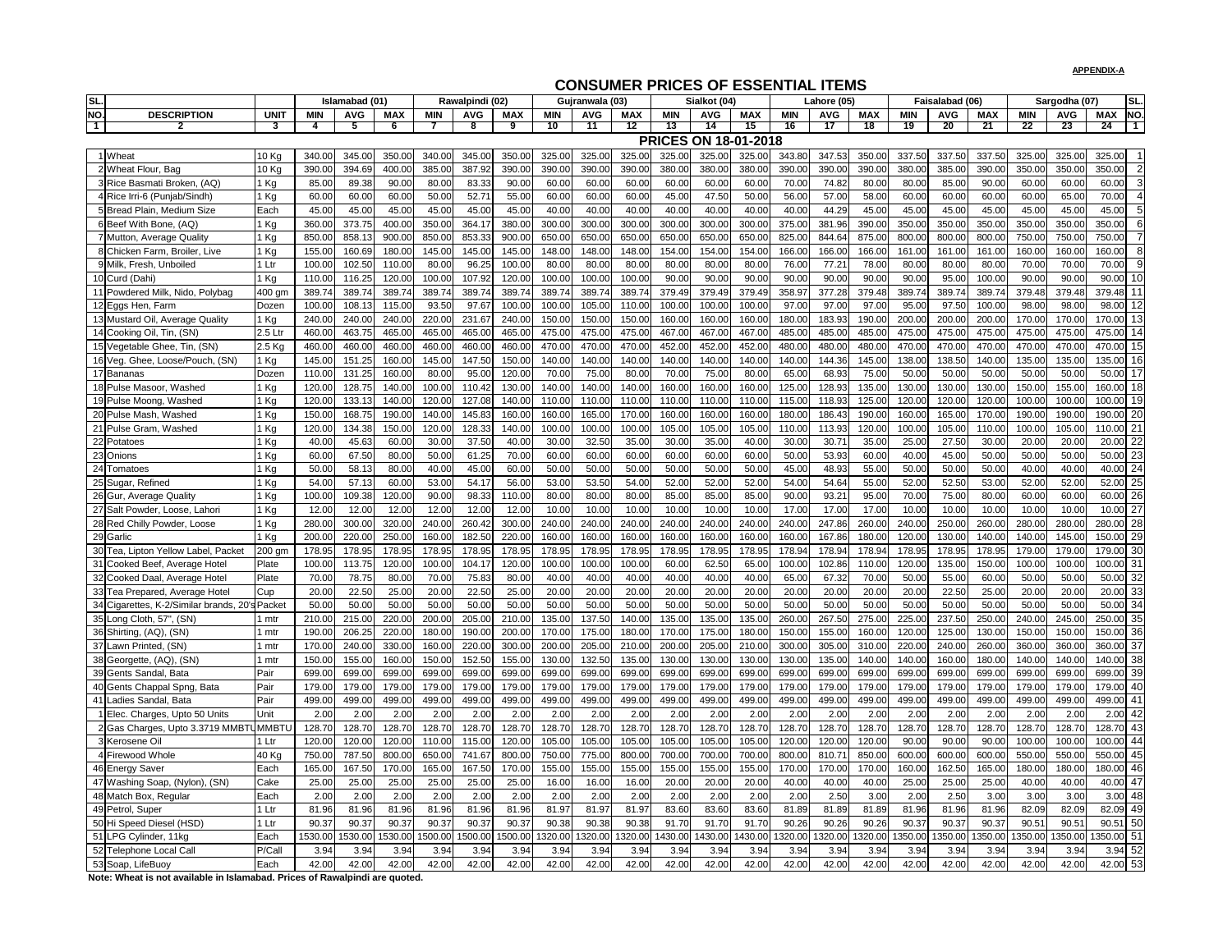| SL.                                            |             |            | Islamabad (01) |            |            | Rawalpindi (02) |            |         | Gujranwala (03) |            |            | Sialkot (04)                |            |            | Lahore (05) |            |        | Faisalabad (06) |            |            | Sargodha (07) |                      | SL.            |
|------------------------------------------------|-------------|------------|----------------|------------|------------|-----------------|------------|---------|-----------------|------------|------------|-----------------------------|------------|------------|-------------|------------|--------|-----------------|------------|------------|---------------|----------------------|----------------|
| NO.<br><b>DESCRIPTION</b>                      | <b>UNIT</b> | <b>MIN</b> | <b>AVG</b>     | <b>MAX</b> | <b>MIN</b> | <b>AVG</b>      | <b>MAX</b> | MIN     | <b>AVG</b>      | <b>MAX</b> | <b>MIN</b> | <b>AVG</b>                  | <b>MAX</b> | <b>MIN</b> | <b>AVG</b>  | <b>MAX</b> | MIN    | <b>AVG</b>      | <b>MAX</b> | <b>MIN</b> | <b>AVG</b>    | <b>MAX</b>           | NO.            |
| $\top$                                         | 3           | 4          | 5              |            |            | 8               | 9          | 10      |                 | 12         | 13         | 14                          | 15         | 16         | -17         | 18         | 19     | 20              | 21         | 22         | 23            | 24                   |                |
|                                                |             |            |                |            |            |                 |            |         |                 |            |            | <b>PRICES ON 18-01-2018</b> |            |            |             |            |        |                 |            |            |               |                      |                |
| Wheat                                          | 10 Kg       | 340.00     | 345.00         | 350.00     | 340.00     | 345.0           | 350.00     | 325.00  | 325.00          | 325.00     | 325.00     | 325.00                      | 325.00     | 343.80     | 347.53      | 350.0      | 337.50 | 337.50          | 337.50     | 325.00     | 325.0         | 325.00               |                |
| 2 Wheat Flour, Bag                             | 10 Kg       | 390.00     | 394.69         | 400.00     | 385.00     | 387.92          | 390.00     | 390.00  | 390.00          | 390.00     | 380.00     | 380.00                      | 380.00     | 390.00     | 390.00      | 390.0      | 380.0  | 385.00          | 390.00     | 350.00     | 350.00        | 350.00               | $\overline{2}$ |
| 3 Rice Basmati Broken, (AQ)                    | Kg          | 85.00      | 89.38          | 90.00      | 80.00      | 83.33           | 90.00      | 60.00   | 60.00           | 60.00      | 60.00      | 60.00                       | 60.00      | 70.00      | 74.82       | 80.0       | 80.0   | 85.00           | 90.00      | 60.00      | 60.00         | 60.00                |                |
| 4 Rice Irri-6 (Punjab/Sindh)                   | 1 Kg        | 60.00      | 60.00          | 60.00      | 50.00      | 52.7            | 55.00      | 60.00   | 60.00           | 60.00      | 45.00      | 47.50                       | 50.00      | 56.00      | 57.00       | 58.00      | 60.00  | 60.00           | 60.00      | 60.00      | 65.00         | 70.00                |                |
| 5 Bread Plain, Medium Size                     | Each        | 45.00      | 45.00          | 45.00      | 45.00      | 45.00           | 45.00      | 40.00   | 40.00           | 40.00      | 40.00      | 40.00                       | 40.00      | 40.00      | 44.29       | 45.00      | 45.00  | 45.00           | 45.00      | 45.00      | 45.00         | 45.00                |                |
| 6 Beef With Bone, (AQ)                         | l Kg        | 360.00     | 373.75         | 400.00     | 350.00     | 364.1           | 380.00     | 300.00  | 300.00          | 300.00     | 300.00     | 300.0                       | 300.00     | 375.00     | 381.96      | 390.00     | 350.0  | 350.00          | 350.00     | 350.00     | 350.0         | 350.00               |                |
| 7 Mutton, Average Quality                      | l Kg        | 850.00     | 858.13         | 900.00     | 850.00     | 853.33          | 900.00     | 650.00  | 650.00          | 650.00     | 650.00     | 650.0                       | 650.00     | 825.00     | 844.64      | 875.0      | 800.0  | 800.00          | 800.00     | 750.00     | 750.0         | 750.00               |                |
| 8 Chicken Farm, Broiler, Live                  | l Kg        | 155.00     | 160.69         | 180.00     | 145.00     | 145.0           | 145.00     | 148.00  | 148.00          | 148.00     | 154.0      | 154.0                       | 154.00     | 166.00     | 166.00      | 166.00     | 161.0  | 161.00          | 161.00     | 160.00     | 160.0         | 160.00               |                |
| 9 Milk, Fresh, Unboiled                        | 1 Ltr       | 100.00     | 102.50         | 110.00     | 80.00      | 96.25           | 100.00     | 80.00   | 80.00           | 80.00      | 80.00      | 80.00                       | 80.00      | 76.00      | 77.21       | 78.00      | 80.00  | 80.00           | 80.00      | 70.00      | 70.00         | 70.00                | 9              |
| 10 Curd (Dahi)                                 | l Kg        | 110.00     | 116.25         | 120.00     | 100.00     | 107.92          | 120.00     | 100.00  | 100.00          | 100.00     | 90.00      | 90.00                       | 90.00      | 90.00      | 90.00       | 90.00      | 90.0   | 95.00           | 100.00     | 90.00      | 90.00         | 90.00                | 10             |
| Powdered Milk, Nido, Polybag                   | 400 gm      | 389.74     | 389.74         | 389.74     | 389.74     | 389.74          | 389.74     | 389.74  | 389.74          | 389.74     | 379.49     | 379.4                       | 379.49     | 358.97     | 377.28      | 379.48     | 389.74 | 389.74          | 389.74     | 379.48     | 379.48        | 379.48               | 11             |
| 12 Eggs Hen, Farm                              | Dozen       | 100.00     | 108.13         | 115.00     | 93.50      | 97.67           | 100.00     | 100.00  | 105.00          | 110.00     | 100.00     | 100.0                       | 100.00     | 97.00      | 97.00       | 97.00      | 95.0   | 97.5            | 100.00     | 98.00      | 98.00         | 98.00                | 12             |
| 13 Mustard Oil, Average Quality                | 1 Kg        | 240.00     | 240.00         | 240.00     | 220.00     | 231.6           | 240.00     | 150.00  | 150.00          | 150.00     | 160.00     | 160.0                       | 160.00     | 180.00     | 183.93      | 190.0      | 200.0  | 200.00          | 200.00     | 170.00     | 170.0         | 170.00               | 13             |
| 14 Cooking Oil, Tin, (SN)                      | 2.5 Ltr     | 460.00     | 463.75         | 465.00     | 465.00     | 465.0           | 465.00     | 475.00  | 475.00          | 475.00     | 467.00     | 467.00                      | 467.00     | 485.00     | 485.00      | 485.0      | 475.0  | 475.00          | 475.00     | 475.00     | 475.0         | 475.00               | 14             |
| 15 Vegetable Ghee, Tin, (SN)                   | 2.5 Kg      | 460.00     | 460.0          | 460.00     | 460.00     | 460.0           | 460.00     | 470.00  | 470.00          | 470.00     | 452.00     | 452.00                      | 452.00     | 480.00     | 480.00      | 480.0      | 470.00 | 470.00          | 470.00     | 470.0      | 470.00        | 470.00               | 15             |
| 16 Veg. Ghee, Loose/Pouch, (SN)                | Kg          | 145.00     | 151.25         | 160.00     | 145.00     | 147.50          | 150.00     | 140.00  | 140.00          | 140.00     | 140.00     | 140.00                      | 140.00     | 140.00     | 144.36      | 145.00     | 138.0  | 138.5           | 140.00     | 135.00     | 135.00        | 135.00               | 16             |
| 17 Bananas                                     | Dozen       | 110.00     | 131.25         | 160.00     | 80.00      | 95.0            | 120.00     | 70.00   | 75.00           | 80.00      | 70.00      | 75.00                       | 80.00      | 65.00      | 68.93       | 75.00      | 50.00  | 50.00           | 50.00      | 50.00      | 50.00         | 50.00                | 17             |
| 18 Pulse Masoor, Washed                        | 1 Kg        | 120.00     | 128.75         | 140.00     | 100.00     | 110.42          | 130.00     | 140.00  | 140.00          | 140.00     | 160.00     | 160.00                      | 160.00     | 125.00     | 128.93      | 135.00     | 130.00 | 130.00          | 130.00     | 150.00     | 155.0         | 160.00               | 18             |
| 19 Pulse Moong, Washed                         | l Kg        | 120.00     | 133.13         | 140.00     | 120.00     | 127.08          | 140.00     | 110.00  | 110.00          | 110.00     | 110.0      | 110.00                      | 110.00     | 115.00     | 118.93      | 125.00     | 120.00 | 120.00          | 120.00     | 100.00     | 100.0         | 100.00               | 19             |
| 20 Pulse Mash, Washed                          | Kg          | 150.00     | 168.75         | 190.00     | 140.00     | 145.83          | 160.00     | 160.00  | 165.00          | 170.00     | 160.00     | 160.00                      | 160.00     | 180.00     | 186.43      | 190.00     | 160.00 | 165.00          | 170.00     | 190.00     | 190.00        | 190.00               | 20             |
| 21 Pulse Gram, Washed                          | Kg          | 120.00     | 134.38         | 150.00     | 120.00     | 128.33          | 140.00     | 100.00  | 100.00          | 100.00     | 105.00     | 105.00                      | 105.00     | 110.00     | 113.93      | 120.0      | 100.00 | 105.00          | 110.00     | 100.00     | 105.00        | 110.00               | 21             |
| 22 Potatoes                                    | Кg          | 40.00      | 45.63          | 60.00      | 30.00      | 37.50           | 40.00      | 30.00   | 32.50           | 35.00      | 30.00      | 35.00                       | 40.00      | 30.00      | 30.7'       | 35.00      | 25.0   | 27.50           | 30.00      | 20.00      | 20.00         | 20.00                | 22             |
| 23 Onions                                      | Kg          | 60.00      | 67.50          | 80.00      | 50.00      | 61.25           | 70.00      | 60.00   | 60.00           | 60.00      | 60.00      | 60.00                       | 60.00      | 50.00      | 53.93       | 60.00      | 40.00  | 45.00           | 50.00      | 50.00      | 50.00         | 50.00                | 23             |
| 24 Tomatoes                                    | Kg          | 50.00      | 58.13          | 80.00      | 40.00      | 45.00           | 60.00      | 50.00   | 50.00           | 50.00      | 50.00      | 50.00                       | 50.00      | 45.00      | 48.93       | 55.00      | 50.00  | 50.00           | 50.00      | 40.00      | 40.00         | 40.00                | 24             |
| 25 Sugar, Refined                              | Kg          | 54.00      | 57.13          | 60.00      | 53.00      | 54.1            | 56.00      | 53.00   | 53.50           | 54.00      | 52.00      | 52.00                       | 52.00      | 54.00      | 54.64       | 55.00      | 52.00  | 52.50           | 53.00      | 52.00      | 52.00         | 52.00                | 25             |
| 26 Gur, Average Quality                        | Kg          | 100.00     | 109.38         | 120.00     | 90.00      | 98.33           | 110.00     | 80.00   | 80.00           | 80.00      | 85.00      | 85.00                       | 85.00      | 90.00      | 93.21       | 95.00      | 70.00  | 75.00           | 80.00      | 60.00      | 60.00         | 60.00                | 26             |
| 27 Salt Powder, Loose, Lahori                  | Kg          | 12.00      | 12.00          | 12.00      | 12.00      | 12.00           | 12.00      | 10.00   | 10.00           | 10.00      | 10.00      | 10.00                       | 10.00      | 17.00      | 17.00       | 17.00      | 10.00  | 10.00           | 10.00      | 10.00      | 10.00         | 10.00                | 27             |
| 28 Red Chilly Powder, Loose                    | $1$ Kg      | 280.00     | 300.00         | 320.00     | 240.00     | 260.42          | 300.00     | 240.00  | 240.00          | 240.00     | 240.00     | 240.00                      | 240.00     | 240.00     | 247.86      | 260.00     | 240.00 | 250.00          | 260.00     | 280.00     | 280.00        | 280.00               | 28             |
| 29 Garlic                                      | 1 Kg        | 200.00     | 220.00         | 250.00     | 160.00     | 182.50          | 220.00     | 160.00  | 160.00          | 160.00     | 160.00     | 160.00                      | 160.00     | 160.00     | 167.86      | 180.00     | 120.00 | 130.00          | 140.00     | 140.00     | 145.00        | 150.00 29            |                |
| 30 Tea, Lipton Yellow Label, Packet            | 200 gm      | 178.95     | 178.95         | 178.95     | 178.95     | 178.95          | 178.95     | 178.95  | 178.95          | 178.95     | 178.95     | 178.95                      | 178.95     | 178.94     | 178.94      | 178.94     | 178.95 | 178.95          | 178.95     | 179.00     | 179.00        | 179.00 30            |                |
| 31 Cooked Beef, Average Hotel                  | Plate       | 100.00     | 113.75         | 120.00     | 100.00     | 104.1           | 120.00     | 100.00  | 100.00          | 100.00     | 60.00      | 62.50                       | 65.00      | 100.00     | 102.86      | 110.00     | 120.00 | 135.00          | 150.00     | 100.00     | 100.00        | 100.00 31            |                |
| 32 Cooked Daal, Average Hotel                  | Plate       | 70.00      | 78.75          | 80.00      | 70.00      | 75.83           | 80.00      | 40.00   | 40.00           | 40.00      | 40.00      | 40.00                       | 40.00      | 65.00      | 67.32       | 70.00      | 50.00  | 55.00           | 60.00      | 50.00      | 50.00         | $50.00$ 32           |                |
| 33 Tea Prepared, Average Hotel                 | Cup         | 20.00      | 22.50          | 25.00      | 20.00      | 22.50           | 25.00      | 20.00   | 20.00           | 20.00      | 20.00      | 20.00                       | 20.00      | 20.00      | 20.00       | 20.00      | 20.00  | 22.50           | 25.00      | 20.00      | 20.00         | 20.00 33             |                |
| 34 Cigarettes, K-2/Similar brands, 20's Packet |             | 50.00      | 50.00          | 50.00      | 50.00      | 50.00           | 50.00      | 50.00   | 50.00           | 50.00      | 50.00      | 50.00                       | 50.00      | 50.00      | 50.00       | 50.00      | 50.0   | 50.00           | 50.00      | 50.00      | 50.00         | 50.00 34             |                |
| 35 Long Cloth, 57", (SN)                       | l mtr       | 210.00     | 215.00         | 220.00     | 200.00     | 205.0           | 210.00     | 135.00  | 137.50          | 140.00     | 135.00     | 135.00                      | 135.00     | 260.00     | 267.50      | 275.00     | 225.00 | 237.50          | 250.00     | 240.00     | 245.00        | 250.00 35            |                |
| 36 Shirting, (AQ), (SN)                        | mtr         | 190.00     | 206.25         | 220.00     | 180.00     | 190.0           | 200.00     | 170.00  | 175.00          | 180.00     | 170.00     | 175.00                      | 180.00     | 150.00     | 155.00      | 160.0      | 120.0  | 125.00          | 130.00     | 150.00     | 150.00        | 150.00 36            |                |
| 37 Lawn Printed, (SN)                          | l mtr       | 170.00     | 240.00         | 330.00     | 160.00     | 220.00          | 300.00     | 200.00  | 205.00          | 210.00     | 200.00     | 205.00                      | 210.00     | 300.00     | 305.00      | 310.00     | 220.00 | 240.00          | 260.00     | 360.00     | 360.0         | $360.00$ 37          |                |
| 38 Georgette, (AQ), (SN)                       | l mtr       | 150.00     | 155.00         | 160.00     | 150.00     | 152.50          | 155.00     | 130.00  | 132.50          | 135.00     | 130.00     | 130.00                      | 130.00     | 130.00     | 135.00      | 140.00     | 140.00 | 160.00          | 180.00     | 140.00     | 140.00        | 140.00 38            |                |
| 39 Gents Sandal, Bata                          | Pair        | 699.00     | 699.00         | 699.00     | 699.00     | 699.00          | 699.00     | 699.00  | 699.00          | 699.00     | 699.00     | 699.00                      | 699.00     | 699.00     | 699.00      | 699.00     | 699.00 | 699.00          | 699.00     | 699.00     | 699.00        | 699.00 39            |                |
| 40 Gents Chappal Spng, Bata                    | Pair        | 179.00     | 179.00         | 179.00     | 179.00     | 179.00          | 179.00     | 179.00  | 179.00          | 179.00     | 179.00     | 179.00                      | 179.00     | 179.00     | 179.00      | 179.00     | 179.00 | 179.00          | 179.00     | 179.00     | 179.00        | 179.00 40            |                |
| 41 Ladies Sandal, Bata                         | Pair        | 499.00     | 499.00         | 499.00     | 499.00     | 499.00          | 499.00     | 499.00  | 499.00          | 499.00     | 499.00     | 499.00                      | 499.00     | 499.00     | 499.00      | 499.00     | 499.00 | 499.00          | 499.00     | 499.00     | 499.00        | 499.00 41            |                |
| Elec. Charges, Upto 50 Units                   | Unit        | 2.00       | 2.00           | 2.00       | 2.00       | 2.00            | 2.00       | 2.00    | 2.00            | 2.00       | 2.00       | 2.00                        | 2.00       | 2.00       | 2.00        | 2.00       | 2.00   | 2.00            | 2.00       | 2.00       | 2.00          | 2.00                 | 42             |
| 2 Gas Charges, Upto 3.3719 MMBTUMMBTU          |             | 128.70     | 128.70         | 128.70     | 128.70     | 128.70          | 128.70     | 128.70  | 128.70          | 128.70     | 128.70     | 128.70                      | 128.70     | 128.70     | 128.70      | 128.70     | 128.70 | 128.70          | 128.70     | 128.70     | 128.70        | 128.70 43            |                |
| 3 Kerosene Oil                                 | 1 Ltr       | 120.00     | 120.00         | 120.00     | 110.00     | 115.00          | 120.00     | 105.00  | 105.00          | 105.00     | 105.00     | 105.00                      | 105.00     | 120.00     | 120.00      | 120.00     | 90.00  | 90.00           | 90.00      | 100.00     | 100.00        | 100.00 44            |                |
| 4 Firewood Whole                               | 40 Kg       | 750.00     | 787.50         | 800.00     | 650.00     | 741.67          | 800.00     | 750.00  | 775.00          | 800.00     | 700.00     | 700.00                      | 700.00     | 800.00     | 810.71      | 850.00     | 600.00 | 600.00          | 600.00     | 550.00     | 550.00        | 550.00 45            |                |
| 46 Energy Saver                                | Each        | 165.00     | 167.50         | 170.00     | 165.00     | 167.50          | 170.00     | 155.00  | 155.00          | 155.00     | 155.00     | 155.00                      | 155.00     | 170.00     | 170.00      | 170.00     | 160.00 | 162.50          | 165.00     | 180.00     | 180.00        | 180.00 46            |                |
| 47 Washing Soap, (Nylon), (SN)                 | Cake        | 25.00      | 25.00          | 25.00      | 25.00      | 25.00           | 25.00      | 16.00   | 16.00           | 16.00      | 20.00      | 20.00                       | 20.00      | 40.00      | 40.00       | 40.00      | 25.00  | 25.00           | 25.00      | 40.00      | 40.00         | 40.00                | 47             |
| 48 Match Box, Regular                          | Each        | 2.00       | 2.00           | 2.00       | 2.00       | 2.00            | 2.00       | 2.00    | 2.00            | 2.00       | 2.00       | 2.00                        | 2.00       | 2.00       | 2.50        | 3.00       | 2.00   | 2.50            | 3.00       | 3.00       | 3.00          | $3.00$ 48            |                |
| 49 Petrol, Super                               | 1 Ltr       | 81.96      | 81.96          | 81.96      | 81.96      | 81.96           | 81.96      | 81.97   | 81.97           | 81.97      | 83.60      | 83.60                       | 83.60      | 81.89      | 81.89       | 81.89      | 81.96  | 81.96           | 81.96      | 82.09      | 82.09         | 82.09 49             |                |
| 50 Hi Speed Diesel (HSD)                       | 1 Ltr       | 90.37      | 90.37          | 90.37      | 90.37      | 90.37           | 90.37      | 90.38   | 90.38           | 90.38      | 91.70      | 91.70                       | 91.70      | 90.26      | 90.26       | 90.26      | 90.37  | 90.37           | 90.37      | 90.51      | 90.51         | $90.51$ 50           |                |
| 51 LPG Cylinder, 11kg                          | Each        | 1530.00    | 530.00         | 1530.00    | 1500.00    | 1500.0          | 1500.00    | 1320.00 | 1320.00         | 1320.00    | 1430.00    | 1430.00                     | 1430.00    | 1320.00    | 1320.00     | 1320.00    | 350.00 | 1350.00         | 1350.00    | 1350.00    | 1350.00       | 350.00 51            |                |
| 52 Telephone Local Call                        | P/Call      | 3.94       | 3.94           | 3.94       | 3.94       | 3.94            | 3.94       | 3.94    | 3.94            | 3.94       | 3.94       | 3.94                        | 3.94       | 3.94       | 3.94        | 3.94       | 3.94   | 3.94            | 3.94       | 3.94       | 3.94          | $3.94 \overline{52}$ |                |
| 53 Soap, LifeBuoy                              | Each        | 42.00      | 42.00          | 42.00      | 42.00      | 42.00           | 42.00      | 42.00   | 42.00           | 42.00      | 42.00      | 42.00                       | 42.00      | 42.00      | 42.00       | 42.00      | 42.00  | 42.00           | 42.00      | 42.00      | 42.00         | 42.00 53             |                |

**Note: Wheat is not available in Islamabad. Prices of Rawalpindi are quoted.**

#### **APPENDIX-A**

# **CONSUMER PRICES OF ESSENTIAL ITEMS**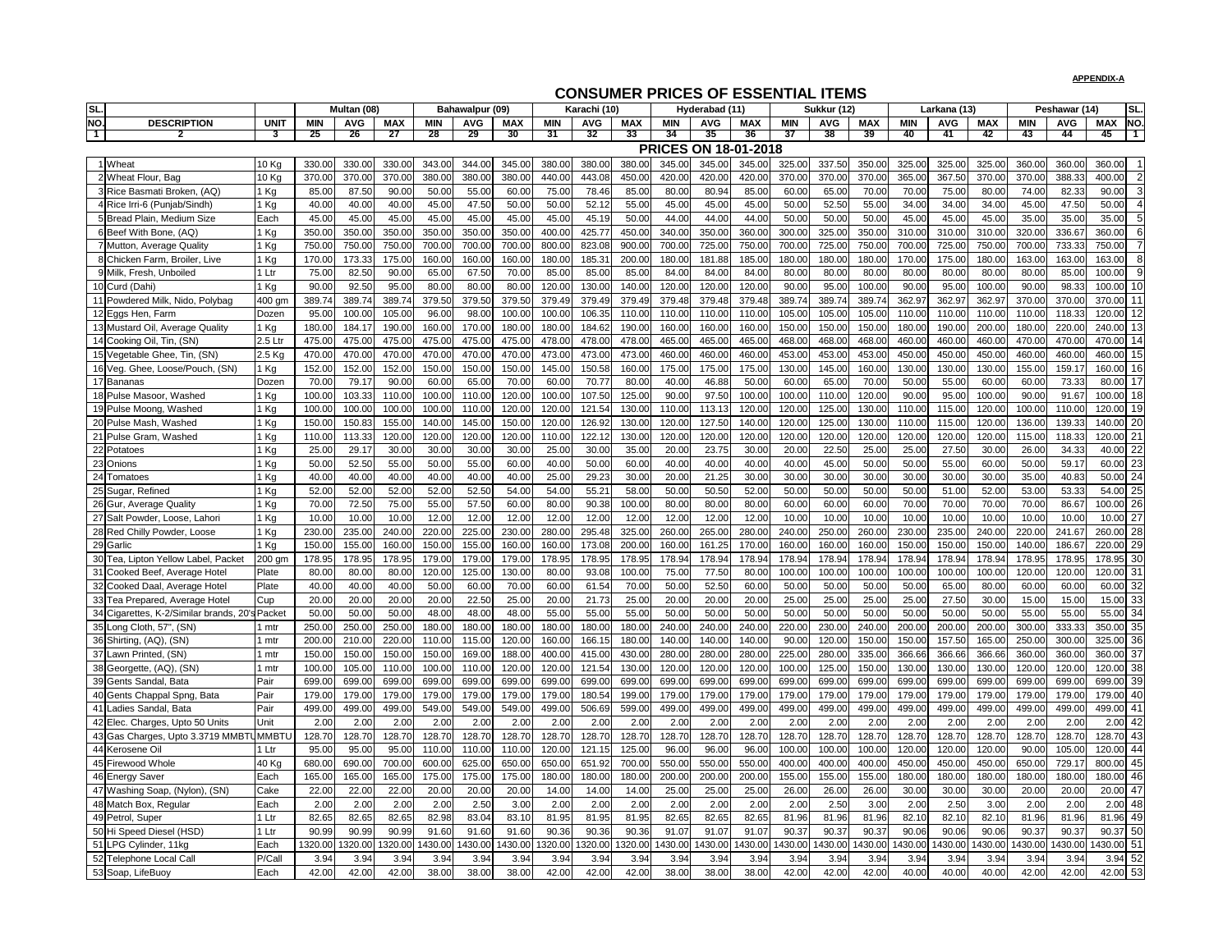|     |                                                  |                 |                  |                  |                  |                  |                  |                  |                  |                  |                  |                  | CONSUMENT NICES OF ESSENTIAL ITEMS |                  |                  |                  |                  |                  |                  |                  |                  |                  |                                 |                |
|-----|--------------------------------------------------|-----------------|------------------|------------------|------------------|------------------|------------------|------------------|------------------|------------------|------------------|------------------|------------------------------------|------------------|------------------|------------------|------------------|------------------|------------------|------------------|------------------|------------------|---------------------------------|----------------|
| SL. |                                                  |                 |                  | Multan (08)      |                  |                  | Bahawalpur (09)  |                  |                  | Karachi (10)     |                  |                  | Hyderabad (11)                     |                  |                  | Sukkur (12)      |                  |                  | Larkana (13)     |                  |                  | Peshawar (14)    |                                 | SL.            |
| NO. | <b>DESCRIPTION</b>                               | <b>UNIT</b>     | <b>MIN</b>       | <b>AVG</b>       | <b>MAX</b>       | <b>MIN</b>       | <b>AVG</b>       | <b>MAX</b>       | <b>MIN</b>       | <b>AVG</b>       | <b>MAX</b>       | <b>MIN</b>       | <b>AVG</b>                         | <b>MAX</b>       | <b>MIN</b>       | <b>AVG</b>       | <b>MAX</b>       | <b>MIN</b>       | <b>AVG</b>       | <b>MAX</b>       | <b>MIN</b>       | <b>AVG</b>       | <b>MAX</b>                      | NO.            |
| ╶┨╴ |                                                  | -3              | 25               | 26               | 27               | 28               | 29               | 30               | 31               | 32               | 33               | 34               | 35                                 | 36               | 37               | 38               | 39               | 40               | 41               | 42               | -43              | -44              | 45                              | -1             |
|     |                                                  |                 |                  |                  |                  |                  |                  |                  |                  |                  |                  |                  | <b>PRICES ON 18-01-2018</b>        |                  |                  |                  |                  |                  |                  |                  |                  |                  |                                 |                |
|     | 1 Wheat                                          | 10 Kg           | 330.00           | 330.0            | 330.00           | 343.00           | 344.00           | 345.00           | 380.00           | 380.0            | 380.00           | 345.00           | 345.00                             | 345.00           | 325.00           | 337.50           | 350.00           | 325.00           | 325.00           | 325.00           | 360.00           | 360.00           | 360.00                          |                |
|     | 2 Wheat Flour, Bag                               | 10 Kg           | 370.0            | 370.0            | 370.00           | 380.00           | 380.00           | 380.00           | 440.00           | 443.08           | 450.00           | 420.00           | 420.00                             | 420.00           | 370.00           | 370.00           | 370.00           | 365.0            | 367.50           | 370.00           | 370.00           | 388.33           | 400.00                          | $\overline{2}$ |
|     | 3 Rice Basmati Broken, (AQ)                      | l Kg            | 85.00            | 87.50            | 90.00            | 50.00            | 55.00            | 60.00            | 75.00            | 78.46            | 85.00            | 80.00            | 80.94                              | 85.00            | 60.00            | 65.00            | 70.00            | 70.00            | 75.00            | 80.00            | 74.00            | 82.33            | 90.00                           |                |
|     | 4 Rice Irri-6 (Punjab/Sindh)                     | I Kg            | 40.00            | 40.00            | 40.00            | 45.00            | 47.50            | 50.00            | 50.00            | 52.12            | 55.00            | 45.00            | 45.00                              | 45.00            | 50.00            | 52.50            | 55.00            | 34.00            | 34.00            | 34.00            | 45.00            | 47.50            | 50.00                           |                |
|     | 5 Bread Plain, Medium Size                       | Each            | 45.00            | 45.00            | 45.00            | 45.00            | 45.00            | 45.00            | 45.00            | 45.19            | 50.00            | 44.00            | 44.00                              | 44.00            | 50.00            | 50.00            | 50.00            | 45.00            | 45.00            | 45.00            | 35.00            | 35.00            | 35.00                           |                |
|     | 6 Beef With Bone, (AQ)                           | 1 Kg            | 350.00           | 350.0            | 350.00           | 350.00           | 350.0            | 350.00           | 400.00           | 425.77           | 450.00           | 340.00           | 350.00                             | 360.00           | 300.00           | 325.00           | 350.00           | 310.0            | 310.00           | 310.00           | 320.00           | 336.6            | 360.00                          |                |
|     | 7 Mutton, Average Quality                        | 1 Kg            | 750.00           | 750.0            | 750.00           | 700.00           | 700.00           | 700.00           | 800.00           | 823.08           | 900.00           | 700.0            | 725.00                             | 750.00           | 700.00           | 725.00           | 750.00           | 700.0            | 725.00           | 750.00           | 700.00           | 733.33           | 750.00                          |                |
|     | 8 Chicken Farm, Broiler, Live                    | l Kg            | 170.00           | 173.33           | 175.00           | 160.00           | 160.00           | 160.00           | 180.00           | 185.31           | 200.00           | 180.00           | 181.88                             | 185.00           | 180.00           | 180.00           | 180.00           | 170.00           | 175.00           | 180.00           | 163.00           | 163.00           | 163.00                          |                |
|     | 9 Milk, Fresh, Unboiled                          | 1 Ltr           | 75.00            | 82.50            | 90.00            | 65.00            | 67.50            | 70.00            | 85.00            | 85.00            | 85.00            | 84.00            | 84.00                              | 84.00            | 80.00            | 80.00            | 80.00            | 80.00            | 80.00            | 80.00            | 80.00            | 85.00            | 100.00                          |                |
|     | 10 Curd (Dahi)                                   | l Kg            | 90.00            | 92.50            | 95.00            | 80.00            | 80.00            | 80.00            | 120.00           | 130.00           | 140.00           | 120.0            | 120.00                             | 120.00           | 90.00            | 95.00            | 100.00           | 90.00            | 95.00            | 100.00           | 90.00            | 98.33            | 100.00                          | 10             |
|     | 11 Powdered Milk, Nido, Polybag                  | 400 gm          | 389.74           | 389.74           | 389.74           | 379.50           | 379.50           | 379.50           | 379.49           | 379.49           | 379.49           | 379.48           | 379.48                             | 379.48           | 389.74           | 389.74           | 389.7            | 362.97           | 362.97           | 362.97           | 370.00           | 370.00           | 370.00                          |                |
|     | 12 Eggs Hen, Farm                                | Dozen           | 95.00            | 100.00           | 105.00           | 96.00            | 98.00            | 100.00           | 100.00           | 106.35           | 110.00           | 110.0            | 110.00                             | 110.00           | 105.00           | 105.00           | 105.00           | 110.00           | 110.00           | 110.00           | 110.00           | 118.33           | 120.00                          | 12             |
|     | 13 Mustard Oil, Average Quality                  | 1 Kg            | 180.00           | 184.17           | 190.00           | 160.00           | 170.00           | 180.00           | 180.00           | 184.62           | 190.00           | 160.00           | 160.00                             | 160.00           | 150.00           | 150.00           | 150.00           | 180.00           | 190.00           | 200.00           | 180.00           | 220.00           | 240.00                          | 13             |
|     | 14 Cooking Oil, Tin, (SN)                        | 2.5 Ltr         | 475.00           | 475.00           | 475.00           | 475.00           | 475.00           | 475.00           | 478.00           | 478.00           | 478.00           | 465.00           | 465.00                             | 465.00           | 468.00           | 468.00           | 468.00           | 460.00           | 460.00           | 460.00           | 470.00           | 470.00           | 470.00                          | 14             |
|     | 15 Vegetable Ghee, Tin, (SN)                     | $2.5$ Kg        | 470.0            | 470.0            | 470.00           | 470.00           | 470.00           | 470.00           | 473.00           | 473.00           | 473.00           | 460.00           | 460.00                             | 460.00           | 453.00           | 453.00           | 453.00           | 450.0            | 450.00           | 450.00           | 460.0            | 460.0            | 460.00                          | 15             |
|     | 16 Veg. Ghee, Loose/Pouch, (SN)                  | Kg              | 152.00           | 152.00           | 152.00           | 150.00           | 150.00           | 150.00           | 145.00           | 150.58           | 160.00           | 175.0            | 175.00                             | 175.00           | 130.00           | 145.00           | 160.00           | 130.0            | 130.00           | 130.00           | 155.00           | 159.1            | 160.00                          | 16             |
|     | 17 Bananas                                       | Dozen           | 70.00            | 79.17            | 90.00            | 60.00            | 65.00            | 70.00            | 60.00            | 70.77            | 80.00            | 40.00            | 46.88                              | 50.00            | 60.00            | 65.00            | 70.00            | 50.00            | 55.00            | 60.00            | 60.00            | 73.33            | 80.00                           | 17             |
|     | 18 Pulse Masoor, Washed                          | l Kg            | 100.00           | 103.33           | 110.00           | 100.00           | 110.00           | 120.00           | 100.00           | 107.50           | 125.00           | 90.00            | 97.50                              | 100.00           | 100.00           | 110.00           | 120.00           | 90.00            | 95.00            | 100.00           | 90.00            | 91.67            | 100.00                          | 18             |
|     | 19 Pulse Moong, Washed                           | l Kg            | 100.00           | 100.00           | 100.00           | 100.00           | 110.00           | 120.00           | 120.00           | 121.54           | 130.00           | 110.00           | 113.13                             | 120.00           | 120.00           | 125.00           | 130.00           | 110.00           | 115.00           | 120.00           | 100.00           | 110.00           | 120.00                          | 19             |
|     | 20 Pulse Mash, Washed                            | l Kg            | 150.0            | 150.8            | 155.00           | 140.00           | 145.00           | 150.00           | 120.00           | 126.92           | 130.00           | 120.0            | 127.50                             | 140.00           | 120.00           | 125.00           | 130.0            | 110.0            | 115.00           | 120.00           | 136.00           | 139.33           | 140.00                          | 20             |
|     | 21 Pulse Gram, Washed                            | Kg              | 110.00           | 113.33           | 120.00           | 120.00           | 120.00           | 120.00           | 110.00           | 122.12           | 130.00           | 120.0            | 120.00                             | 120.00           | 120.00           | 120.00           | 120.00           | 120.0            | 120.00           | 120.00           | 115.00           | 118.33           | 120.00                          | 21<br>22       |
|     | 22 Potatoes                                      | Kg              | 25.00            | 29.17            | 30.00            | 30.00            | 30.00            | 30.00            | 25.00            | 30.00            | 35.00<br>60.00   | 20.00            | 23.75                              | 30.00            | 20.00            | 22.50            | 25.00<br>50.00   | 25.00            | 27.50            | 30.00            | 26.00            | 34.33            | 40.00<br>60.00                  | 23             |
|     | 23 Onions                                        | Kg              | 50.00            | 52.50            | 55.00            | 50.00            | 55.00            | 60.00            | 40.00            | 50.00            | 30.00            | 40.00            | 40.00                              | 40.00            | 40.00            | 45.00            |                  | 50.00            | 55.00            | 60.00            | 50.00            | 59.17            |                                 | 24             |
|     | 24 Tomatoes                                      | Kg              | 40.00            | 40.00            | 40.00            | 40.00            | 40.00            | 40.00            | 25.00            | 29.23            |                  | 20.00            | 21.25                              | 30.00            | 30.00            | 30.00            | 30.00            | 30.00            | 30.00            | 30.00            | 35.00            | 40.83            | 50.00                           |                |
|     | 25 Sugar, Refined                                | l Kg            | 52.00            | 52.00            | 52.00            | 52.00            | 52.50            | 54.00            | 54.00            | $55.2^{\circ}$   | 58.00            | 50.00            | 50.50                              | 52.00            | 50.00            | 50.00            | 50.00            | 50.00            | 51.00            | 52.00            | 53.00            | 53.33            | 54.00                           | 25             |
|     | 26 Gur, Average Quality                          | Kg              | 70.00            | 72.50<br>10.00   | 75.00            | 55.00<br>12.00   | 57.50<br>12 NO   | 60.00            | 80.00<br>12.00   | 90.38            | 100.00<br>12.00  | 80.00<br>1200    | 80.00                              | 80.00            | 60.00            | 60.00<br>10 $00$ | 60.00<br>10.00   | 70.00            | 70.00            | 70.00            | 70.00<br>10.00   | 86.67<br>10.00   | 100.00<br>10.00 $\overline{27}$ | 26             |
|     | 27 Salt Powder, Loose, Lahori                    | 1 Kg            | 10.00            | $\cdots$         | 10.00            | $\sim$           | $\sim$           | 12.00            | $-0.09$          | 12.00            | $\sim$           | $1 - 0$          | 12.00                              | 12.00            | 10.00            | 10.01            | $\cdot$          | 10.00            | 10.00            | 10.00            | $\cdot$          | $\cdots$         | 10.00<br>260.00 28              | $\sim$         |
|     | 28 Red Chilly Powder, Loose                      | Kg              | 230.00           | 235.00           | 240.00           | 220.00           | 225.00           | 230.00           | 280.00           | 295.48           | 325.00           | 260.00           | 265.00                             | 280.00           | 240.00           | 250.00           | 260.00           | 230.00           | 235.00           | 240.00           | 220.00           | 241.67           |                                 |                |
|     | 29 Garlic<br>30 Tea, Lipton Yellow Label, Packet | 1 Kg            | 150.00<br>178.95 | 155.00<br>178.95 | 160.00<br>178.95 | 150.00<br>179.00 | 155.00<br>179.00 | 160.00<br>179.00 | 160.00<br>178.95 | 173.08<br>178.95 | 200.00<br>178.95 | 160.00<br>178.94 | 161.25<br>178.94                   | 170.00<br>178.94 | 160.00<br>178.94 | 160.00<br>178.94 | 160.00<br>178.94 | 150.00<br>178.94 | 150.00<br>178.94 | 150.00<br>178.94 | 140.00<br>178.95 | 186.67<br>178.95 | 220.00 29<br>178.95 30          |                |
|     | 31 Cooked Beef, Average Hotel                    | 200 gm<br>Plate |                  |                  |                  | 120.00           |                  | 130.00           |                  |                  | 100.00           | 75.00            | 77.50                              |                  | 100.00           | 100.00           | 100.00           | 100.00           | 100.00           | 100.00           | 120.00           | 120.00           | 120.00 31                       |                |
|     | 32 Cooked Daal, Average Hotel                    | Plate           | 80.00<br>40.00   | 80.00<br>40.00   | 80.00<br>40.00   | 50.00            | 125.00<br>60.00  | 70.00            | 80.00<br>60.00   | 93.08<br>61.54   | 70.00            | 50.00            | 52.50                              | 80.00<br>60.00   | 50.00            | 50.00            | 50.00            | 50.00            | 65.00            | 80.00            | 60.00            | 60.00            | 60.00 32                        |                |
|     | 33 Tea Prepared, Average Hotel                   | Cup             | 20.00            | 20.00            | 20.00            | 20.00            | 22.50            | 25.00            | 20.00            | 21.73            | 25.00            | 20.00            | 20.00                              | 20.00            | 25.00            | 25.00            | 25.00            | 25.00            | 27.50            | 30.00            | 15.00            | 15.00            | 15.00 33                        |                |
|     | 34 Cigarettes, K-2/Similar brands, 20's          | Packet          | 50.00            | 50.00            | 50.00            | 48.00            | 48.00            | 48.00            | 55.00            | 55.00            | 55.00            | 50.00            | 50.00                              | 50.00            | 50.00            | 50.00            | 50.00            | 50.00            | 50.00            | 50.00            | 55.00            | 55.00            | 55.00 34                        |                |
|     | 35 Long Cloth, 57", (SN)                         | l mtr           | 250.0            | 250.00           | 250.00           | 180.00           | 180.00           | 180.00           | 180.00           | 180.00           | 180.00           | 240.00           | 240.00                             | 240.00           | 220.00           | 230.00           | 240.00           | 200.00           | 200.00           | 200.00           | 300.00           | 333.33           | 350.00 35                       |                |
|     | 36 Shirting, (AQ), (SN)                          | l mtr           | 200.00           | 210.00           | 220.00           | 110.00           | 115.00           | 120.00           | 160.00           | 166.15           | 180.00           | 140.00           | 140.00                             | 140.00           | 90.00            | 120.00           | 150.00           | 150.00           | 157.50           | 165.00           | 250.00           | 300.00           | 325.00                          | 36             |
|     | 37 Lawn Printed, (SN)                            | 1 mtr           | 150.00           | 150.00           | 150.00           | 150.00           | 169.00           | 188.00           | 400.00           | 415.00           | 430.00           | 280.00           | 280.00                             | 280.00           | 225.00           | 280.00           | 335.00           | 366.66           | 366.66           | 366.66           | 360.00           | 360.00           | 360.00 37                       |                |
|     | 38 Georgette, (AQ), (SN)                         | l mtr           | 100.00           | 105.00           | 110.00           | 100.00           | 110.00           | 120.00           | 120.00           | 121.54           | 130.00           | 120.00           | 120.00                             | 120.00           | 100.00           | 125.00           | 150.00           | 130.00           | 130.00           | 130.00           | 120.00           | 120.00           | 120.00 38                       |                |
|     | 39 Gents Sandal, Bata                            | Pair            | 699.00           | 699.00           | 699.00           | 699.00           | 699.00           | 699.00           | 699.00           | 699.00           | 699.00           | 699.00           | 699.00                             | 699.00           | 699.00           | 699.00           | 699.00           | 699.00           | 699.00           | 699.00           | 699.00           | 699.00           | 699.00 39                       |                |
|     | 40 Gents Chappal Spng, Bata                      | Pair            | 179.00           | 179.00           | 179.00           | 179.00           | 179.00           | 179.00           | 179.00           | 180.54           | 199.00           | 179.00           | 179.00                             | 179.00           | 179.00           | 179.00           | 179.00           | 179.00           | 179.00           | 179.00           | 179.00           | 179.00           | 179.00 40                       |                |
|     | 41 Ladies Sandal, Bata                           | Pair            | 499.00           | 499.00           | 499.00           | 549.00           | 549.00           | 549.00           | 499.00           | 506.69           | 599.00           | 499.00           | 499.00                             | 499.00           | 499.00           | 499.00           | 499.00           | 499.00           | 499.00           | 499.00           | 499.00           | 499.00           | 499.00 41                       |                |
|     | 42 Elec. Charges, Upto 50 Units                  | Unit            | 2.00             | 2.00             | 2.00             | 2.00             | 2.00             | 2.00             | 2.00             | 2.00             | 2.00             | 2.00             | 2.00                               | 2.00             | 2.00             | 2.00             | 2.00             | 2.00             | 2.00             | 2.00             | 2.00             | 2.00             | $2.00$ 42                       |                |
|     | 43 Gas Charges, Upto 3.3719 MMBTUMMBTU           |                 | 128.70           | 128.70           | 128.70           | 128.70           | 128.70           | 128.70           | 128.70           | 128.70           | 128.70           | 128.70           | 128.70                             | 128.70           | 128.70           | 128.70           | 128.70           | 128.70           | 128.70           | 128.70           | 128.70           | 128.70           | 128.70 43                       |                |
|     | 44 Kerosene Oil                                  | 1 Ltr           | 95.00            | 95.00            | 95.00            | 110.00           | 110.00           | 110.00           | 120.00           | 121.15           | 125.00           | 96.00            | 96.00                              | 96.00            | 100.00           | 100.00           | 100.00           | 120.00           | 120.00           | 120.00           | 90.00            | 105.00           | 120.00 44                       |                |
|     | 45 Firewood Whole                                | 40 Kg           | 680.00           | 690.00           | 700.00           | 600.00           | 625.00           | 650.00           | 650.00           | 651.92           | 700.00           | 550.00           | 550.00                             | 550.00           | 400.00           | 400.00           | 400.00           | 450.00           | 450.00           | 450.00           | 650.00           | 729.17           | 800.00                          | 45             |
|     | 46 Energy Saver                                  | Each            | 165.00           | 165.00           | 165.00           | 175.00           | 175.00           | 175.00           | 180.00           | 180.00           | 180.00           | 200.00           | 200.00                             | 200.00           | 155.00           | 155.00           | 155.00           | 180.00           | 180.00           | 180.00           | 180.00           | 180.00           | 180.00 46                       |                |
|     | 47 Washing Soap, (Nylon), (SN)                   | Cake            | 22.00            | 22.00            | 22.00            | 20.00            | 20.00            | 20.00            | 14.00            | 14.00            | 14.00            | 25.00            | 25.00                              | 25.00            | 26.00            | 26.00            | 26.00            | 30.00            | 30.00            | 30.00            | 20.00            | 20.00            | 20.00 47                        |                |
|     | 48 Match Box, Regular                            | Each            | 2.00             | 2.00             | 2.00             | 2.00             | 2.50             | 3.00             | 2.00             | 2.00             | 2.00             | 2.00             | 2.00                               | 2.00             | 2.00             | 2.50             | 3.0C             | 2.00             | 2.50             | 3.00             | 2.00             | 2.00             | $2.00$ 48                       |                |
|     | 49 Petrol, Super                                 | 1 Ltr           | 82.65            | 82.65            | 82.65            | 82.98            | 83.04            | 83.10            | 81.95            | 81.95            | 81.95            | 82.65            | 82.65                              | 82.65            | 81.96            | 81.96            | 81.96            | 82.10            | 82.10            | 82.10            | 81.96            | 81.96            | 81.96 49                        |                |
|     | 50 Hi Speed Diesel (HSD)                         | 1 $Ltr$         | 90.99            | 90.99            | 90.99            | 91.60            | 91.60            | 91.60            | 90.36            | 90.36            | 90.36            | 91.07            | 91.07                              | 91.07            | 90.37            | 90.37            | 90.37            | 90.06            | 90.06            | 90.06            | 90.37            | 90.37            | $90.37$ 50                      |                |
|     | 51 LPG Cylinder, 11kg                            | Each            | 1320.00          | 1320.00          | 1320.00          | 1430.00          | 1430.00          | 1430.00          | 1320.00          | 1320.00          | 1320.00          | 1430.00          | 1430.00                            | 1430.00          | 1430.00          | 1430.00          | 1430.00          | 1430.00          | 1430.00          | 1430.00          | 1430.00          | 1430.00          | 430.00 51                       |                |
|     | 52 Telephone Local Call                          | P/Call          | 3.94             | 3.94             | 3.94             | 3.94             | 3.94             | 3.94             | 3.94             | 3.94             | 3.94             | 3.94             | 3.94                               | 3.94             | 3.94             | 3.94             | 3.94             | 3.94             | 3.94             | 3.94             | 3.94             | 3.94             | $3.94$ 52                       |                |
|     | 53 Soap, LifeBuoy                                | Each            | 42.00            | 42.00            | 42.00            | 38.00            | 38.00            | 38.00            | 42.00            | 42.00            | 42.00            | 38.00            | 38.00                              | 38.00            | 42.00            | 42.00            | 42.00            | 40.00            | 40.00            | 40.00            | 42.00            | 42.00            | 42.00 53                        |                |
|     |                                                  |                 |                  |                  |                  |                  |                  |                  |                  |                  |                  |                  |                                    |                  |                  |                  |                  |                  |                  |                  |                  |                  |                                 |                |

#### **APPENDIX-A**

# **CONSUMER PRICES OF ESSENTIAL ITEMS**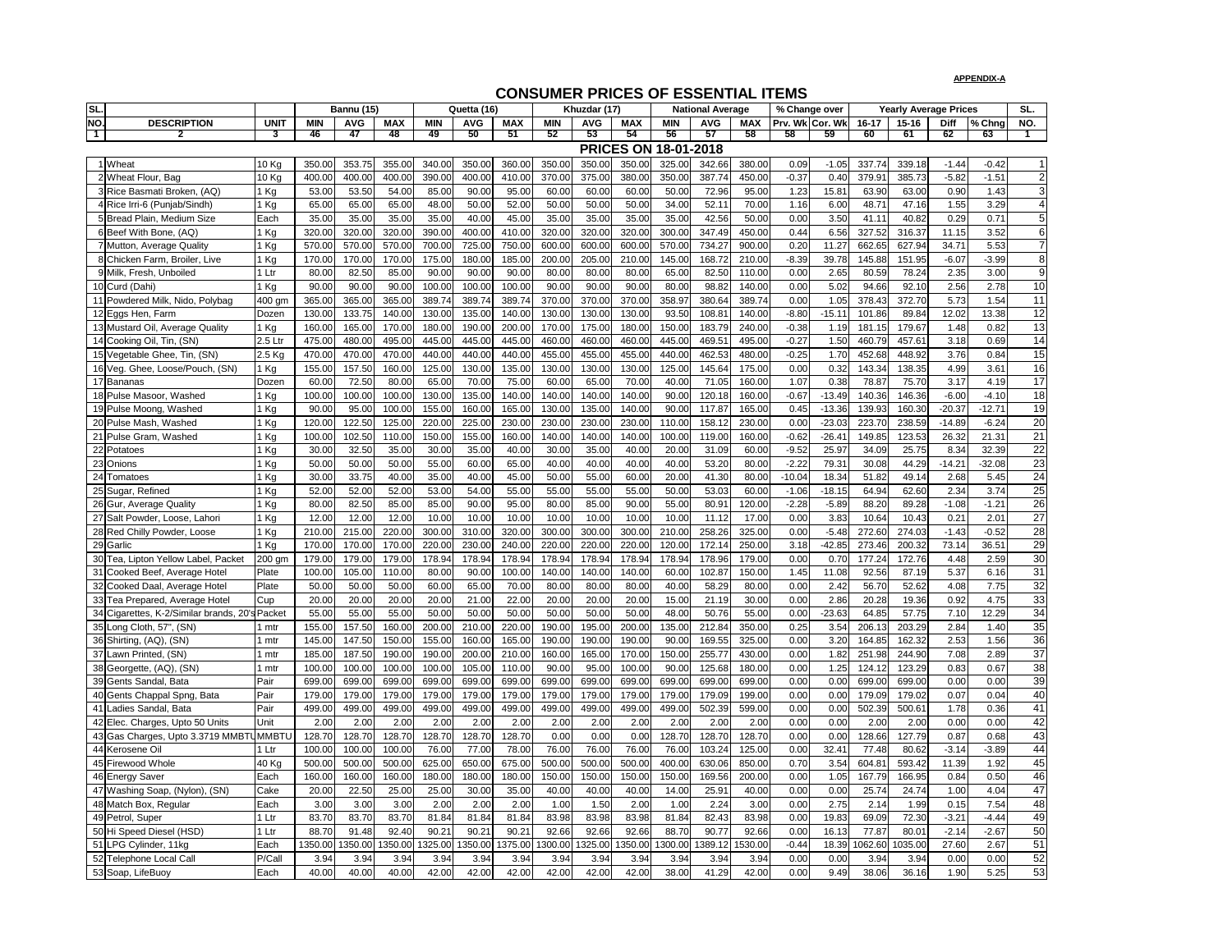| SL.            |                                                |             |            | <b>Bannu (15)</b> |            |            | Quetta (16) |            |            | Khuzdar (17) |            |                             | <b>National Average</b> |            | % Change over   |          |           | <b>Yearly Average Prices</b> |             |          | SL.             |
|----------------|------------------------------------------------|-------------|------------|-------------------|------------|------------|-------------|------------|------------|--------------|------------|-----------------------------|-------------------------|------------|-----------------|----------|-----------|------------------------------|-------------|----------|-----------------|
| NO.            | <b>DESCRIPTION</b>                             | <b>UNIT</b> | <b>MIN</b> | <b>AVG</b>        | <b>MAX</b> | <b>MIN</b> | <b>AVG</b>  | <b>MAX</b> | <b>MIN</b> | <b>AVG</b>   | <b>MAX</b> | <b>MIN</b>                  | <b>AVG</b>              | <b>MAX</b> | Prv. Wk Cor. Wk |          | $16 - 17$ | $15 - 16$                    | <b>Diff</b> | $%$ Chng | NO.             |
| $\overline{1}$ |                                                | 3           | 46         | 47                | 48         | 49         | 50          | 51         | 52         | 53           | 54         | 56                          | 57                      | 58         | 58              | 59       | 60        | 61                           | 62          | 63       |                 |
|                |                                                |             |            |                   |            |            |             |            |            |              |            | <b>PRICES ON 18-01-2018</b> |                         |            |                 |          |           |                              |             |          |                 |
|                | 1 Wheat                                        | 10 Kg       | 350.00     | 353.75            | 355.00     | 340.00     | 350.00      | 360.00     | 350.00     | 350.00       | 350.00     | 325.00                      | 342.66                  | 380.00     | 0.09            | $-1.05$  | 337.74    | 339.18                       | $-1.44$     | $-0.42$  |                 |
|                | 2 Wheat Flour, Bag                             | 10 Kg       | 400.00     | 400.00            | 400.00     | 390.00     | 400.00      | 410.00     | 370.00     | 375.00       | 380.00     | 350.00                      | 387.74                  | 450.00     | $-0.37$         | 0.40     | 379.91    | 385.73                       | $-5.82$     | $-1.51$  | $\overline{2}$  |
|                | 3 Rice Basmati Broken, (AQ)                    | Kg          | 53.00      | 53.50             | 54.00      | 85.00      | 90.00       | 95.00      | 60.00      | 60.00        | 60.00      | 50.00                       | 72.96                   | 95.00      | 1.23            | 15.81    | 63.90     | 63.00                        | 0.90        | 1.43     | 3               |
|                | 4 Rice Irri-6 (Punjab/Sindh)                   | Kg          | 65.00      | 65.00             | 65.00      | 48.00      | 50.00       | 52.00      | 50.00      | 50.00        | 50.00      | 34.00                       | 52.11                   | 70.00      | 1.16            | 6.00     | 48.71     | 47.16                        | 1.55        | 3.29     | $\overline{4}$  |
|                | 5 Bread Plain, Medium Size                     | Each        | 35.00      | 35.00             | 35.00      | 35.00      | 40.00       | 45.00      | 35.00      | 35.00        | 35.00      | 35.00                       | 42.56                   | 50.00      | 0.00            | 3.50     | 41.11     | 40.82                        | 0.29        | 0.71     | 5               |
|                | 6 Beef With Bone, (AQ)                         | Kg          | 320.00     | 320.00            | 320.00     | 390.00     | 400.00      | 410.00     | 320.00     | 320.00       | 320.00     | 300.00                      | 347.49                  | 450.00     | 0.44            | 6.56     | 327.52    | 316.37                       | 11.15       | 3.52     | $6 \,$          |
|                | 7 Mutton, Average Quality                      | Kg          | 570.00     | 570.00            | 570.00     | 700.00     | 725.00      | 750.00     | 600.00     | 600.00       | 600.00     | 570.00                      | 734.27                  | 900.00     | 0.20            | 11.27    | 662.65    | 627.94                       | 34.71       | 5.53     | $\overline{7}$  |
|                | Chicken Farm, Broiler, Live                    | Kg          | 170.00     | 170.00            | 170.00     | 175.00     | 180.00      | 185.00     | 200.00     | 205.00       | 210.00     | 145.00                      | 168.72                  | 210.00     | $-8.39$         | 39.78    | 145.88    | 151.95                       | $-6.07$     | $-3.99$  | 8               |
| 9              | Milk, Fresh, Unboiled                          | Ltr         | 80.00      | 82.50             | 85.00      | 90.00      | 90.00       | 90.00      | 80.00      | 80.00        | 80.00      | 65.00                       | 82.50                   | 110.00     | 0.00            | 2.65     | 80.59     | 78.24                        | 2.35        | 3.00     | $\overline{9}$  |
|                | 10 Curd (Dahi)                                 | Kg          | 90.00      | 90.00             | 90.00      | 100.00     | 100.00      | 100.00     | 90.00      | 90.00        | 90.00      | 80.00                       | 98.82                   | 140.00     | 0.00            | 5.02     | 94.66     | 92.10                        | 2.56        | 2.78     | 10              |
|                | 11 Powdered Milk, Nido, Polybag                | 400 gm      | 365.00     | 365.00            | 365.00     | 389.74     | 389.74      | 389.74     | 370.00     | 370.00       | 370.00     | 358.97                      | 380.64                  | 389.74     | 0.00            | 1.05     | 378.43    | 372.70                       | 5.73        | 1.54     | 11              |
|                | 12 Eggs Hen, Farm                              | Dozen       | 130.00     | 133.75            | 140.00     | 130.00     | 135.00      | 140.00     | 130.00     | 130.00       | 130.00     | 93.50                       | 108.81                  | 140.00     | $-8.80$         | $-15.1'$ | 101.86    | 89.84                        | 12.02       | 13.38    | 12              |
|                | 13 Mustard Oil, Average Quality                | Kg          | 160.00     | 165.00            | 170.00     | 180.00     | 190.00      | 200.00     | 170.00     | 175.00       | 180.00     | 150.00                      | 183.79                  | 240.00     | $-0.38$         | 1.19     | 181.15    | 179.67                       | 1.48        | 0.82     | $\overline{13}$ |
|                | 14 Cooking Oil, Tin, (SN)                      | 2.5 Ltr     | 475.00     | 480.00            | 495.00     | 445.00     | 445.00      | 445.00     | 460.00     | 460.00       | 460.00     | 445.00                      | 469.51                  | 495.00     | $-0.27$         | 1.50     | 460.79    | 457.61                       | 3.18        | 0.69     | $\overline{14}$ |
|                | 15 Vegetable Ghee, Tin, (SN)                   | $2.5$ Kg    | 470.00     | 470.00            | 470.00     | 440.00     | 440.00      | 440.00     | 455.00     | 455.00       | 455.00     | 440.00                      | 462.53                  | 480.00     | $-0.25$         | 1.70     | 452.68    | 448.92                       | 3.76        | 0.84     | $\overline{15}$ |
|                | 16 Veg. Ghee, Loose/Pouch, (SN)                | Kg          | 155.00     | 157.50            | 160.00     | 125.00     | 130.00      | 135.00     | 130.00     | 130.00       | 130.00     | 125.00                      | 145.64                  | 175.00     | 0.00            | 0.32     | 143.34    | 138.35                       | 4.99        | 3.61     | 16              |
|                | 17 Bananas                                     | Dozen       | 60.00      | 72.50             | 80.00      | 65.00      | 70.00       | 75.00      | 60.00      | 65.00        | 70.00      | 40.00                       | 71.05                   | 160.00     | 1.07            | 0.38     | 78.87     | 75.70                        | 3.17        | 4.19     | $\overline{17}$ |
|                | 18 Pulse Masoor, Washed                        | Kg          | 100.00     | 100.00            | 100.00     | 130.00     | 135.00      | 140.00     | 140.00     | 140.00       | 140.00     | 90.00                       | 120.18                  | 160.00     | $-0.67$         | $-13.49$ | 140.36    | 146.36                       | $-6.00$     | $-4.10$  | 18              |
|                | 19 Pulse Moong, Washed                         | Kg          | 90.00      | 95.00             | 100.00     | 155.00     | 160.00      | 165.00     | 130.00     | 135.00       | 140.00     | 90.00                       | 117.87                  | 165.00     | 0.45            | $-13.36$ | 139.93    | 160.30                       | $-20.37$    | $-12.71$ | 19              |
|                | 20 Pulse Mash, Washed                          | Kg          | 120.00     | 122.50            | 125.00     | 220.00     | 225.00      | 230.00     | 230.00     | 230.00       | 230.00     | 110.00                      | 158.12                  | 230.00     | 0.00            | $-23.03$ | 223.70    | 238.59                       | $-14.89$    | $-6.24$  | 20              |
|                | 21 Pulse Gram, Washed                          | Kg          | 100.00     | 102.50            | 110.00     | 150.00     | 155.00      | 160.00     | 140.00     | 140.00       | 140.00     | 100.00                      | 119.00                  | 160.00     | $-0.62$         | $-26.4'$ | 149.85    | 123.53                       | 26.32       | 21.31    | 21              |
|                | 22 Potatoes                                    | Kg          | 30.00      | 32.50             | 35.00      | 30.00      | 35.00       | 40.00      | 30.00      | 35.00        | 40.00      | 20.00                       | 31.09                   | 60.00      | $-9.52$         | 25.97    | 34.09     | 25.75                        | 8.34        | 32.39    | $\overline{22}$ |
|                | 23 Onions                                      | Kg          | 50.00      | 50.00             | 50.00      | 55.00      | 60.00       | 65.00      | 40.00      | 40.00        | 40.00      | 40.00                       | 53.20                   | 80.00      | $-2.22$         | 79.31    | 30.08     | 44.29                        | $-14.21$    | $-32.08$ | 23              |
|                | 24 Tomatoes                                    | Kg          | 30.00      | 33.75             | 40.00      | 35.00      | 40.00       | 45.00      | 50.00      | 55.00        | 60.00      | 20.00                       | 41.30                   | 80.00      | $-10.04$        | 18.34    | 51.82     | 49.14                        | 2.68        | 5.45     | $\overline{24}$ |
|                | 25 Sugar, Refined                              | Kg          | 52.00      | 52.00             | 52.00      | 53.00      | 54.00       | 55.00      | 55.00      | 55.00        | 55.00      | 50.00                       | 53.03                   | 60.00      | $-1.06$         | $-18.15$ | 64.94     | 62.60                        | 2.34        | 3.74     | 25              |
|                | 26 Gur, Average Quality                        | Kg          | 80.00      | 82.50             | 85.00      | 85.00      | 90.00       | 95.00      | 80.00      | 85.00        | 90.00      | 55.00                       | 80.91                   | 120.00     | $-2.28$         | $-5.89$  | 88.20     | 89.28                        | $-1.08$     | $-1.21$  | 26              |
|                | 27 Salt Powder, Loose, Lahori                  | Kg          | 12.00      | 12.00             | 12.00      | 10.00      | 10.00       | 10.00      | 10.00      | 10.00        | 10.00      | 10.00                       | 11.12                   | 17.00      | 0.00            | 3.83     | 10.64     | 10.43                        | 0.21        | 2.01     | $\overline{27}$ |
|                | 28 Red Chilly Powder, Loose                    | Kg          | 210.00     | 215.00            | 220.00     | 300.00     | 310.00      | 320.00     | 300.00     | 300.00       | 300.00     | 210.00                      | 258.26                  | 325.00     | 0.00            | $-5.48$  | 272.60    | 274.03                       | $-1.43$     | $-0.52$  | 28              |
|                | 29 Garlic                                      | Kg          | 170.00     | 170.00            | 170.00     | 220.00     | 230.00      | 240.00     | 220.00     | 220.00       | 220.00     | 120.00                      | 172.14                  | 250.00     | 3.18            | $-42.85$ | 273.46    | 200.32                       | 73.14       | 36.51    | $\overline{29}$ |
|                | 30 Tea, Lipton Yellow Label, Packet            | 200 gm      | 179.00     | 179.00            | 179.00     | 178.94     | 178.94      | 178.94     | 178.94     | 178.94       | 178.94     | 178.94                      | 178.96                  | 179.00     | 0.00            | 0.70     | 177.24    | 172.76                       | 4.48        | 2.59     | $\overline{30}$ |
|                | 31 Cooked Beef, Average Hotel                  | Plate       | 100.00     | 105.00            | 110.00     | 80.00      | 90.00       | 100.00     | 140.00     | 140.00       | 140.00     | 60.00                       | 102.87                  | 150.00     | 1.45            | 11.08    | 92.56     | 87.19                        | 5.37        | 6.16     | $\overline{31}$ |
|                | 32 Cooked Daal, Average Hotel                  | Plate       | 50.00      | 50.00             | 50.00      | 60.00      | 65.00       | 70.00      | 80.00      | 80.00        | 80.00      | 40.00                       | 58.29                   | 80.00      | 0.00            | 2.42     | 56.70     | 52.62                        | 4.08        | 7.75     | $\overline{32}$ |
|                | 33 Tea Prepared, Average Hotel                 | Cup         | 20.00      | 20.00             | 20.00      | 20.00      | 21.00       | 22.00      | 20.00      | 20.00        | 20.00      | 15.00                       | 21.19                   | 30.00      | 0.00            | 2.86     | 20.28     | 19.36                        | 0.92        | 4.75     | 33              |
|                | 34 Cigarettes, K-2/Similar brands, 20's Packet |             | 55.00      | 55.00             | 55.00      | 50.00      | 50.00       | 50.00      | 50.00      | 50.00        | 50.00      | 48.00                       | 50.76                   | 55.00      | 0.00            | $-23.63$ | 64.85     | 57.75                        | 7.10        | 12.29    | 34              |
|                | 35 Long Cloth, 57", (SN)                       | mtr         | 155.00     | 157.50            | 160.00     | 200.00     | 210.00      | 220.00     | 190.00     | 195.00       | 200.00     | 135.00                      | 212.84                  | 350.00     | 0.25            | 3.54     | 206.13    | 203.29                       | 2.84        | 1.40     | $\overline{35}$ |
|                | 36 Shirting, (AQ), (SN)                        | mtr         | 145.00     | 147.50            | 150.00     | 155.00     | 160.00      | 165.00     | 190.00     | 190.00       | 190.00     | 90.00                       | 169.55                  | 325.00     | 0.00            | 3.20     | 164.85    | 162.32                       | 2.53        | 1.56     | $\overline{36}$ |
|                | 37 Lawn Printed, (SN)                          | mtr         | 185.00     | 187.50            | 190.00     | 190.00     | 200.00      | 210.00     | 160.00     | 165.00       | 170.00     | 150.00                      | 255.77                  | 430.00     | 0.00            | 1.82     | 251.98    | 244.90                       | 7.08        | 2.89     | $\overline{37}$ |
|                | 38 Georgette, (AQ), (SN)                       | mtr         | 100.00     | 100.00            | 100.00     | 100.00     | 105.00      | 110.00     | 90.00      | 95.00        | 100.00     | 90.00                       | 125.68                  | 180.00     | 0.00            | 1.25     | 124.12    | 123.29                       | 0.83        | 0.67     | $\overline{38}$ |
|                | 39 Gents Sandal, Bata                          | Pair        | 699.00     | 699.00            | 699.00     | 699.00     | 699.00      | 699.00     | 699.00     | 699.00       | 699.00     | 699.00                      | 699.00                  | 699.00     | 0.00            | 0.00     | 699.00    | 699.00                       | 0.00        | 0.00     | 39              |
|                | 40 Gents Chappal Spng, Bata                    | Pair        | 179.00     | 179.00            | 179.00     | 179.00     | 179.00      | 179.00     | 179.00     | 179.00       | 179.00     | 179.00                      | 179.09                  | 199.00     | 0.00            | 0.00     | 179.09    | 179.02                       | 0.07        | 0.04     | 40              |
|                | 41 Ladies Sandal, Bata                         | Pair        | 499.00     | 499.00            | 499.00     | 499.00     | 499.00      | 499.00     | 499.00     | 499.00       | 499.00     | 499.00                      | 502.39                  | 599.00     | 0.00            | 0.00     | 502.39    | 500.61                       | 1.78        | 0.36     | 41              |
|                | 42 Elec. Charges, Upto 50 Units                | Unit        | 2.00       | 2.00              | 2.00       | 2.00       | 2.00        | 2.00       | 2.00       | 2.00         | 2.00       | 2.00                        | 2.00                    | 2.00       | 0.00            | 0.00     | 2.00      | 2.00                         | 0.00        | 0.00     | $\overline{42}$ |
|                | 43 Gas Charges, Upto 3.3719 MMBTUMMBTU         |             | 128.70     | 128.70            | 128.70     | 128.70     | 128.70      | 128.70     | 0.00       | 0.00         | 0.00       | 128.70                      | 128.70                  | 128.70     | 0.00            | 0.00     | 128.66    | 127.79                       | 0.87        | 0.68     | 43              |
|                | 44 Kerosene Oil                                | l Ltr       | 100.00     | 100.00            | 100.00     | 76.00      | 77.00       | 78.00      | 76.00      | 76.00        | 76.00      | 76.00                       | 103.24                  | 125.00     | 0.00            | 32.41    | 77.48     | 80.62                        | $-3.14$     | $-3.89$  | $\overline{44}$ |
|                | 45 Firewood Whole                              | 40 Kg       | 500.00     | 500.00            | 500.00     | 625.00     | 650.00      | 675.00     | 500.00     | 500.00       | 500.00     | 400.00                      | 630.06                  | 850.00     | 0.70            | 3.54     | 604.81    | 593.42                       | 11.39       | 1.92     | $\overline{45}$ |
|                | 46 Energy Saver                                | Each        | 160.00     | 160.00            | 160.00     | 180.00     | 180.00      | 180.00     | 150.00     | 150.00       | 150.00     | 150.00                      | 169.56                  | 200.00     | 0.00            | 1.05     | 167.79    | 166.95                       | 0.84        | 0.50     | 46              |
|                | 47 Washing Soap, (Nylon), (SN)                 | Cake        | 20.00      | 22.50             | 25.00      | 25.00      | 30.00       | 35.00      | 40.00      | 40.00        | 40.00      | 14.00                       | 25.91                   | 40.00      | 0.00            | 0.00     | 25.74     | 24.74                        | 1.00        | 4.04     | 47              |
|                | 48 Match Box, Regular                          | Each        | 3.00       | 3.00              | 3.00       | 2.00       | 2.00        | 2.00       | 1.00       | 1.50         | 2.00       | 1.00                        | 2.24                    | 3.00       | 0.00            | 2.75     | 2.14      | 1.99                         | 0.15        | 7.54     | 48              |
|                | 49 Petrol, Super                               | l Ltr       | 83.70      | 83.70             | 83.70      | 81.84      | 81.84       | 81.84      | 83.98      | 83.98        | 83.98      | 81.84                       | 82.43                   | 83.98      | 0.00            | 19.83    | 69.09     | 72.30                        | $-3.21$     | $-4.44$  | 49              |
|                | 50 Hi Speed Diesel (HSD)                       | Ltr         | 88.70      | 91.48             | 92.40      | 90.21      | 90.21       | 90.21      | 92.66      | 92.66        | 92.66      | 88.70                       | 90.77                   | 92.66      | 0.00            | 16.13    | 77.87     | 80.01                        | $-2.14$     | $-2.67$  | 50              |
|                | 51 LPG Cylinder, 11kg                          | Each        | 1350.00    | 1350.00           | 1350.00    | 1325.00    | 350.00      | 1375.00    | 1300.00    | 1325.00      | 1350.00    | 1300.00                     | 1389.12                 | 1530.00    | $-0.44$         | 18.39    | 1062.60   | 1035.00                      | 27.60       | 2.67     | 51              |
|                | 52 Telephone Local Call                        | P/Call      | 3.94       | 3.94              | 3.94       | 3.94       | 3.94        | 3.94       | 3.94       | 3.94         | 3.94       | 3.94                        | 3.94                    | 3.94       | 0.00            | 0.00     | 3.94      | 3.94                         | 0.00        | 0.00     | 52              |
|                | 53 Soap, LifeBuoy                              | Each        | 40.00      | 40.00             | 40.00      | 42.00      | 42.00       | 42.00      | 42.00      | 42.00        | 42.00      | 38.00                       | 41.29                   | 42.00      | 0.00            | 9.49     | 38.06     | 36.16                        | 1.90        | 5.25     | 53              |

### **APPENDIX-A**

# **CONSUMER PRICES OF ESSENTIAL ITEMS**